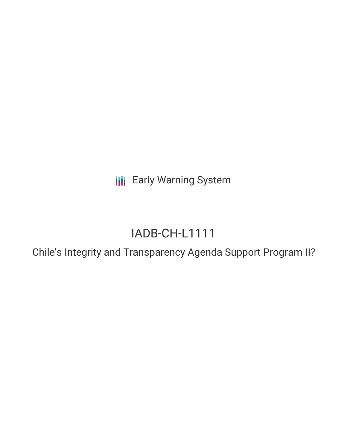**III** Early Warning System

# IADB-CH-L1111

Chile's Integrity and Transparency Agenda Support Program II?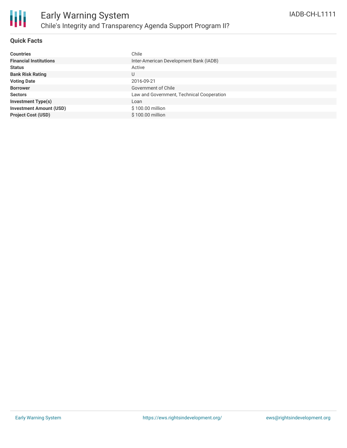

# **Quick Facts**

| <b>Countries</b>               | Chile                                     |
|--------------------------------|-------------------------------------------|
| <b>Financial Institutions</b>  | Inter-American Development Bank (IADB)    |
|                                |                                           |
| <b>Status</b>                  | Active                                    |
| <b>Bank Risk Rating</b>        | U                                         |
| <b>Voting Date</b>             | 2016-09-21                                |
| <b>Borrower</b>                | Government of Chile                       |
| <b>Sectors</b>                 | Law and Government, Technical Cooperation |
| <b>Investment Type(s)</b>      | Loan                                      |
| <b>Investment Amount (USD)</b> | \$100.00 million                          |
| <b>Project Cost (USD)</b>      | \$100.00 million                          |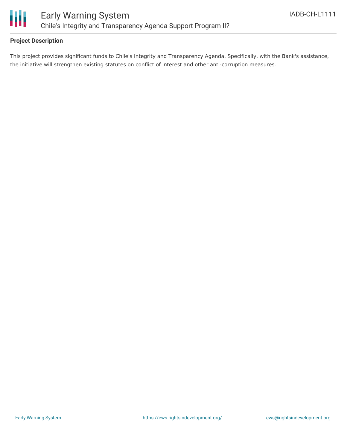

# **Project Description**

This project provides significant funds to Chile's Integrity and Transparency Agenda. Specifically, with the Bank's assistance, the initiative will strengthen existing statutes on conflict of interest and other anti-corruption measures.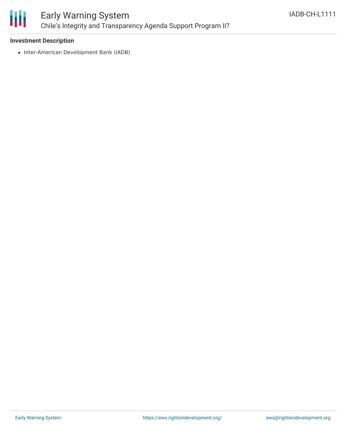

## **Investment Description**

• Inter-American Development Bank (IADB)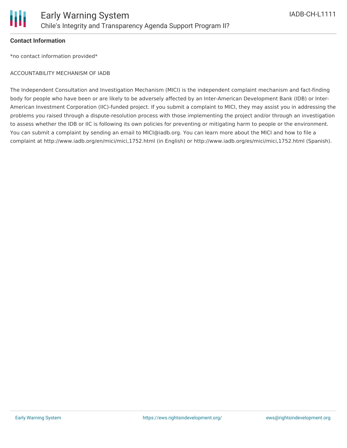## **Contact Information**

\*no contact information provided\*

## ACCOUNTABILITY MECHANISM OF IADB

The Independent Consultation and Investigation Mechanism (MICI) is the independent complaint mechanism and fact-finding body for people who have been or are likely to be adversely affected by an Inter-American Development Bank (IDB) or Inter-American Investment Corporation (IIC)-funded project. If you submit a complaint to MICI, they may assist you in addressing the problems you raised through a dispute-resolution process with those implementing the project and/or through an investigation to assess whether the IDB or IIC is following its own policies for preventing or mitigating harm to people or the environment. You can submit a complaint by sending an email to MICI@iadb.org. You can learn more about the MICI and how to file a complaint at http://www.iadb.org/en/mici/mici,1752.html (in English) or http://www.iadb.org/es/mici/mici,1752.html (Spanish).